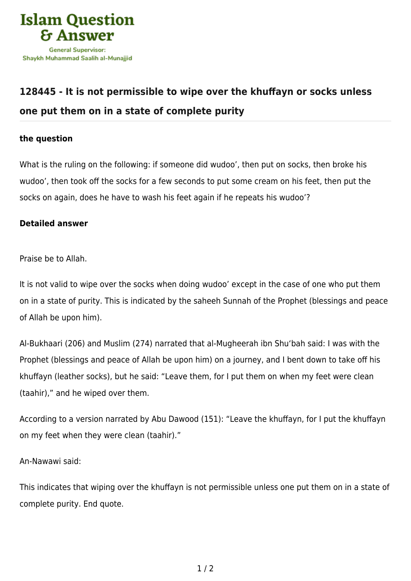

## **[128445 - It is not permissible to wipe over the khuffayn or socks unless](https://islamqa.com/en/answers/128445/it-is-not-permissible-to-wipe-over-the-khuffayn-or-socks-unless-one-put-them-on-in-a-state-of-complete-purity) [one put them on in a state of complete purity](https://islamqa.com/en/answers/128445/it-is-not-permissible-to-wipe-over-the-khuffayn-or-socks-unless-one-put-them-on-in-a-state-of-complete-purity)**

## **the question**

What is the ruling on the following: if someone did wudoo', then put on socks, then broke his wudoo', then took off the socks for a few seconds to put some cream on his feet, then put the socks on again, does he have to wash his feet again if he repeats his wudoo'?

## **Detailed answer**

Praise be to Allah.

It is not valid to wipe over the socks when doing wudoo' except in the case of one who put them on in a state of purity. This is indicated by the saheeh Sunnah of the Prophet (blessings and peace of Allah be upon him).

Al-Bukhaari (206) and Muslim (274) narrated that al-Mugheerah ibn Shu'bah said: I was with the Prophet (blessings and peace of Allah be upon him) on a journey, and I bent down to take off his khuffayn (leather socks), but he said: "Leave them, for I put them on when my feet were clean (taahir)," and he wiped over them.

According to a version narrated by Abu Dawood (151): "Leave the khuffayn, for I put the khuffayn on my feet when they were clean (taahir)."

An-Nawawi said:

This indicates that wiping over the khuffayn is not permissible unless one put them on in a state of complete purity. End quote.